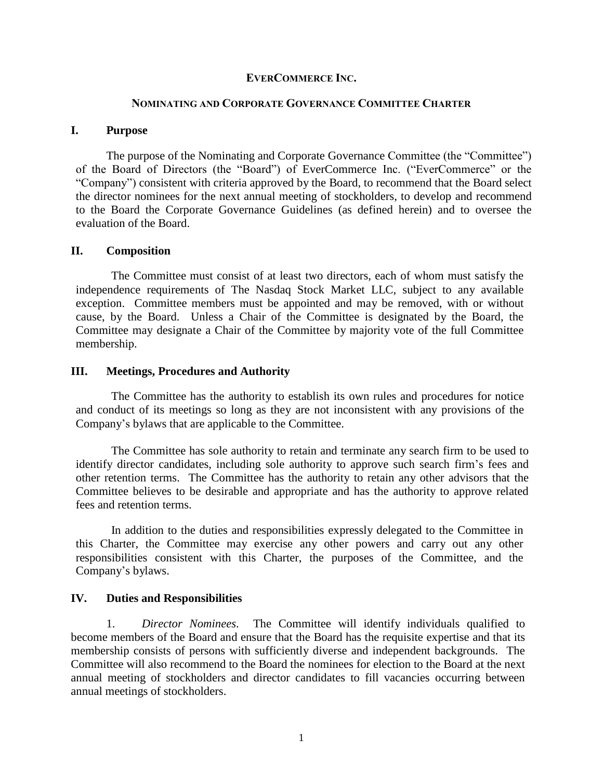## **EVERCOMMERCE INC.**

### **NOMINATING AND CORPORATE GOVERNANCE COMMITTEE CHARTER**

## **I. Purpose**

The purpose of the Nominating and Corporate Governance Committee (the "Committee") of the Board of Directors (the "Board") of EverCommerce Inc. ("EverCommerce" or the "Company") consistent with criteria approved by the Board, to recommend that the Board select the director nominees for the next annual meeting of stockholders, to develop and recommend to the Board the Corporate Governance Guidelines (as defined herein) and to oversee the evaluation of the Board.

## **II. Composition**

The Committee must consist of at least two directors, each of whom must satisfy the independence requirements of The Nasdaq Stock Market LLC, subject to any available exception. Committee members must be appointed and may be removed, with or without cause, by the Board. Unless a Chair of the Committee is designated by the Board, the Committee may designate a Chair of the Committee by majority vote of the full Committee membership.

### **III. Meetings, Procedures and Authority**

The Committee has the authority to establish its own rules and procedures for notice and conduct of its meetings so long as they are not inconsistent with any provisions of the Company's bylaws that are applicable to the Committee.

The Committee has sole authority to retain and terminate any search firm to be used to identify director candidates, including sole authority to approve such search firm's fees and other retention terms. The Committee has the authority to retain any other advisors that the Committee believes to be desirable and appropriate and has the authority to approve related fees and retention terms.

In addition to the duties and responsibilities expressly delegated to the Committee in this Charter, the Committee may exercise any other powers and carry out any other responsibilities consistent with this Charter, the purposes of the Committee, and the Company's bylaws.

## **IV. Duties and Responsibilities**

1. *Director Nominees*. The Committee will identify individuals qualified to become members of the Board and ensure that the Board has the requisite expertise and that its membership consists of persons with sufficiently diverse and independent backgrounds. The Committee will also recommend to the Board the nominees for election to the Board at the next annual meeting of stockholders and director candidates to fill vacancies occurring between annual meetings of stockholders.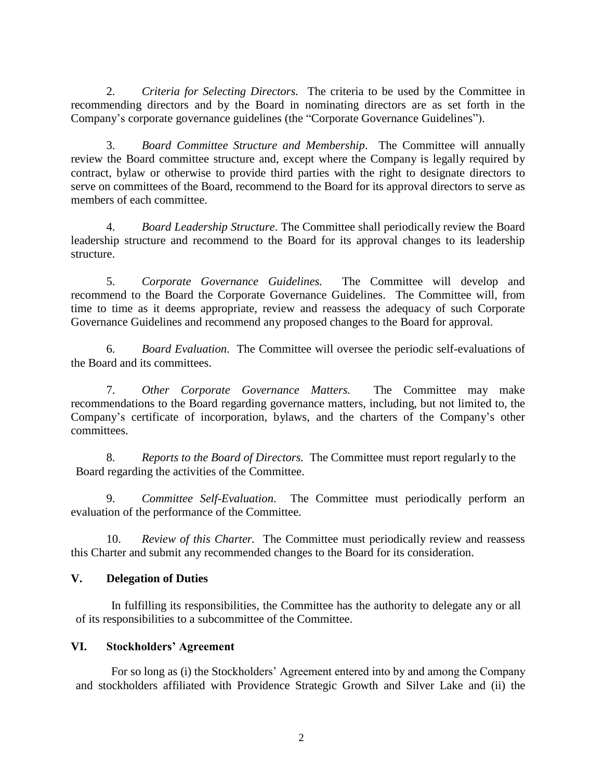2. *Criteria for Selecting Directors.* The criteria to be used by the Committee in recommending directors and by the Board in nominating directors are as set forth in the Company's corporate governance guidelines (the "Corporate Governance Guidelines").

3. *Board Committee Structure and Membership*. The Committee will annually review the Board committee structure and, except where the Company is legally required by contract, bylaw or otherwise to provide third parties with the right to designate directors to serve on committees of the Board, recommend to the Board for its approval directors to serve as members of each committee.

4. *Board Leadership Structure*. The Committee shall periodically review the Board leadership structure and recommend to the Board for its approval changes to its leadership structure.

5. *Corporate Governance Guidelines.* The Committee will develop and recommend to the Board the Corporate Governance Guidelines. The Committee will, from time to time as it deems appropriate, review and reassess the adequacy of such Corporate Governance Guidelines and recommend any proposed changes to the Board for approval.

6. *Board Evaluation*. The Committee will oversee the periodic self-evaluations of the Board and its committees.

7. *Other Corporate Governance Matters.* The Committee may make recommendations to the Board regarding governance matters, including, but not limited to, the Company's certificate of incorporation, bylaws, and the charters of the Company's other committees.

8. *Reports to the Board of Directors.* The Committee must report regularly to the Board regarding the activities of the Committee.

9. *Committee Self-Evaluation*. The Committee must periodically perform an evaluation of the performance of the Committee.

10. *Review of this Charter.* The Committee must periodically review and reassess this Charter and submit any recommended changes to the Board for its consideration.

# **V. Delegation of Duties**

In fulfilling its responsibilities, the Committee has the authority to delegate any or all of its responsibilities to a subcommittee of the Committee.

# **VI. Stockholders' Agreement**

For so long as (i) the Stockholders' Agreement entered into by and among the Company and stockholders affiliated with Providence Strategic Growth and Silver Lake and (ii) the